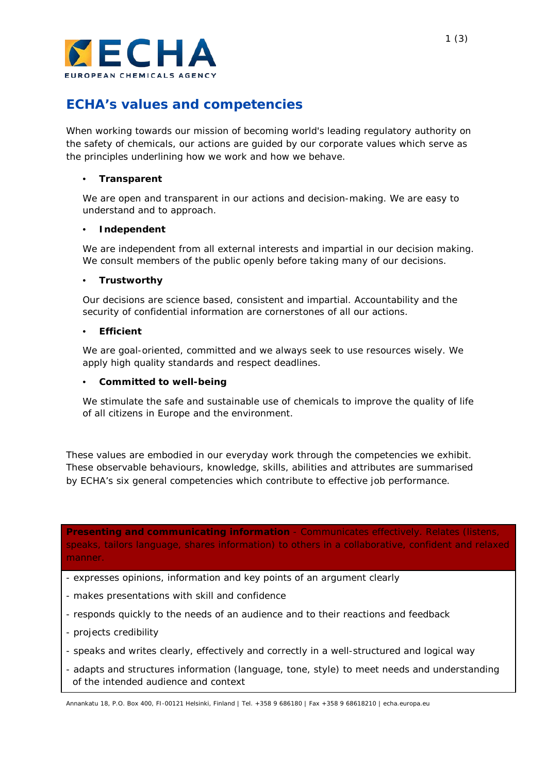

# **ECHA's values and competencies**

When working towards our mission of becoming world's leading regulatory authority on the safety of chemicals, our actions are guided by our corporate values which serve as the principles underlining how we work and how we behave.

## • **Transparent**

We are open and transparent in our actions and decision-making. We are easy to understand and to approach.

## • **Independent**

We are independent from all external interests and impartial in our decision making. We consult members of the public openly before taking many of our decisions.

## • **Trustworthy**

Our decisions are science based, consistent and impartial. Accountability and the security of confidential information are cornerstones of all our actions.

## • **Efficient**

We are goal-oriented, committed and we always seek to use resources wisely. We apply high quality standards and respect deadlines.

## • **Committed to well-being**

We stimulate the safe and sustainable use of chemicals to improve the quality of life of all citizens in Europe and the environment.

These values are embodied in our everyday work through the competencies we exhibit. These observable behaviours, knowledge, skills, abilities and attributes are summarised by ECHA's six general competencies which contribute to effective job performance.

**Presenting and communicating information** - Communicates effectively. Relates (listens, speaks, tailors language, shares information) to others in a collaborative, confident and relaxed manner.

- expresses opinions, information and key points of an argument clearly
- makes presentations with skill and confidence
- responds quickly to the needs of an audience and to their reactions and feedback
- projects credibility
- speaks and writes clearly, effectively and correctly in a well-structured and logical way
- adapts and structures information (language, tone, style) to meet needs and understanding of the intended audience and context

Annankatu 18, P.O. Box 400, FI-00121 Helsinki, Finland | Tel. +358 9 686180 | Fax +358 9 68618210 | echa.europa.eu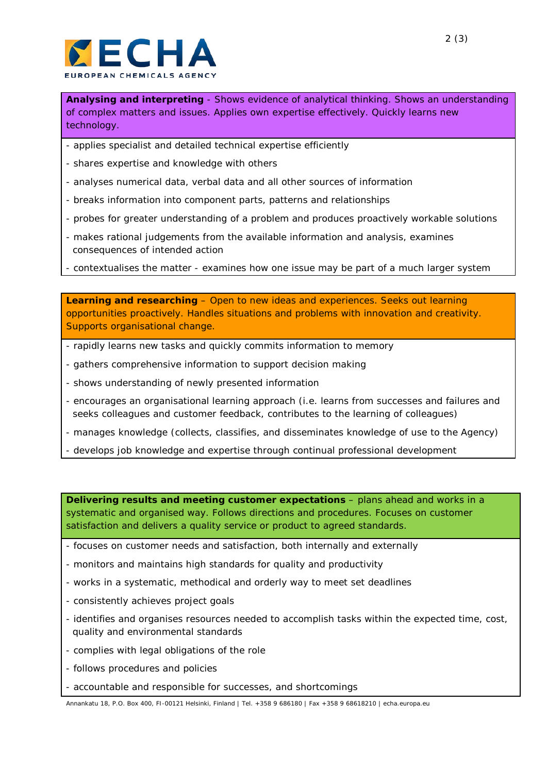

**Analysing and interpreting** - Shows evidence of analytical thinking. Shows an understanding of complex matters and issues. Applies own expertise effectively. Quickly learns new technology.

- applies specialist and detailed technical expertise efficiently
- shares expertise and knowledge with others
- analyses numerical data, verbal data and all other sources of information
- breaks information into component parts, patterns and relationships
- probes for greater understanding of a problem and produces proactively workable solutions
- makes rational judgements from the available information and analysis, examines consequences of intended action
- contextualises the matter examines how one issue may be part of a much larger system

**Learning and researching** – Open to new ideas and experiences. Seeks out learning opportunities proactively. Handles situations and problems with innovation and creativity. Supports organisational change.

- rapidly learns new tasks and quickly commits information to memory
- gathers comprehensive information to support decision making
- shows understanding of newly presented information
- encourages an organisational learning approach (i.e. learns from successes and failures and seeks colleagues and customer feedback, contributes to the learning of colleagues)
- manages knowledge (collects, classifies, and disseminates knowledge of use to the Agency)
- develops job knowledge and expertise through continual professional development

**Delivering results and meeting customer expectations – plans ahead and works in a** systematic and organised way. Follows directions and procedures. Focuses on customer satisfaction and delivers a quality service or product to agreed standards.

- focuses on customer needs and satisfaction, both internally and externally
- monitors and maintains high standards for quality and productivity
- works in a systematic, methodical and orderly way to meet set deadlines
- consistently achieves project goals
- identifies and organises resources needed to accomplish tasks within the expected time, cost, quality and environmental standards
- complies with legal obligations of the role
- follows procedures and policies
- accountable and responsible for successes, and shortcomings

Annankatu 18, P.O. Box 400, FI-00121 Helsinki, Finland | Tel. +358 9 686180 | Fax +358 9 68618210 | echa.europa.eu